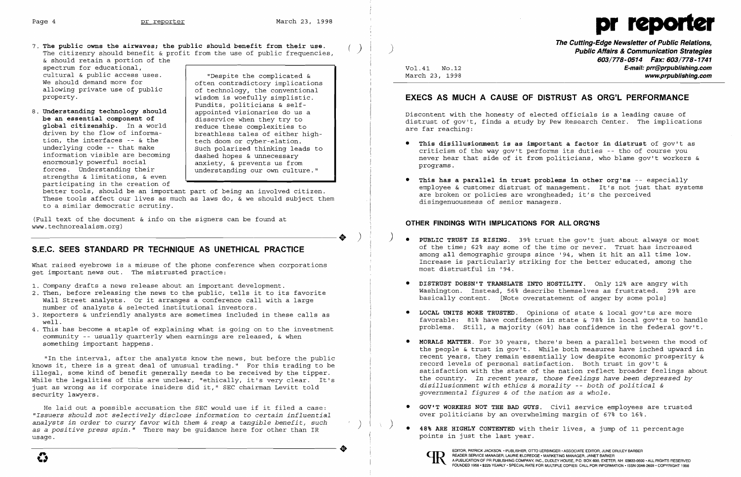The public owns the airwaves; the public should benefit from their use. (2008) **The Cutting-Edge Newsletter of Public Relations,**<br>The citizenry should benefit & profit from the use of public frequencies (2008) **Public Affa** The citizenry should benefit & profit from the use of public frequencies, & should retain a portion of the

spectrum for educational, cultural & public access uses. We should demand more for allowing private use of public property.

8. **Understanding technology should be an essential component of global citizenship.** In a world driven by the flow of information, the interfaces -- & the underlying code -- that make information visible are becoming enormously powerful social forces. Understanding their strengths & limitations, & even participating in the creation of

better tools, should be an important part of being an involved citizen. These tools affect our lives as much as laws do, & we should subject them to a similar democratic scrutiny.

- 1. Company drafts a news release about an important development.
- 2. Then, before releasing the news to the public, tells it to its favorite Wall Street analysts. Or it arranges a conference call with a large number of analysts & selected institutional investors.
- 3. Reporters & unfriendly analysts are sometimes included in these calls as well.
- 4. This has become a staple of explaining what is going on to the investment community -- usually quarterly when earnings are released, & when something important happens.

"Despite the complicated & often contradictory implications of technology, the conventional wisdom is woefully simplistic. Pundits, politicians & selfappointed visionaries do us a disservice when they try to reduce these complexities to breathless tales of either hightech doom or cyber-elation. Such polarized thinking leads to dashed hopes & unnecessary anxiety, & prevents us from understanding our own culture."

(Full text of the document & info on the signers can be found at ----------------------. ) www.technorealaism.org)

# **S.E.C. SEES STANDARD PR TECHNIQUE AS UNETHICAL PRACTICE**

What raised eyebrows is a misuse of the phone conference when corporations get important news out. The mistrusted practice:

- ) • **PUBLIC TRUST IS RISING.** 39~ trust the gov't just about always or most most distrustful in '94.
	- • **DISTRUST DOESN'T TRANSLATE INTO HOSTILITY.** Only 12~ are angry with basically content. [Note overstatement of anger by some pols]
	- • **LOCAL UNITS MORE TRUSTED.** Opinions of state & local gov'ts are more
	- • **MORALS MATTER.** For 30 years, there's been a parallel between the mood of record levels of personal satisfaction. Both trust in gov't & *disillusionment with ethics* & *morality* -- *both of political & governmental figures* & *of the nation* as a *whole.*
	- • **GOV'T WORKERS NOT THE BAD GUYS.** Civil service employees are trusted over politicians by an overwhelming margin of  $67\%$  to  $16\%$ .
- ever perfections by an ever michaning margin of the total of the 1st.<br>
48% ARE HIGHLY CONTENTED with their lives, a jump of 11 percentage<br>
points in just the last year.<br>
EDITOR, PATRICK JACKSON. PUBLISHER, OTTO LERBINGER



EDITOR, PATRICK JACKSON. • PUBLISHER, OTTO LERBINGER • ASSOCIATE EDITOR, JUNE DRULEY BARBER EDITOR, PATRICK JACKSON. • PUBLISHER, OTTO LERBINGER • ASSOCIATE EDITOR, JUNE DE CHENGER • ASSOCIATE EDITOR, JUNE DE CHENGER • ASSOCIATE EDITOR, JUNE DE CHENGER, CAURIE ELDREDGE' MARKETING MANAGER, JANET BARKER



# Page 4 **pr reporter** March 23, 1998 **pr reporter**

of the time; 62% say some of the time or never. Trust has increased among all demographic groups since '94, when it hit an all time low. Increase is particularly striking for the better educated, among the

Washington. Instead, 56% describe themselves as frustrated. 29% are

favorable: 81% have confidence in state & 78% in local gov'ts to handle problems. Still, a majority (60%) has confidence in the federal gov't.

"In the interval, after the analysts know the news, but before the public knows it, there is a great deal of unusual trading." For this trading to be illegal, some kind of benefit generally needs to be received by the tipper. While the legalities of this are unclear, "ethically, it's very clear. It's just as wrong as if corporate insiders did it," SEC chairman Levitt told security lawyers.

analysts in order to cally lavoi with them a reap a tangible benefit, such<br>as a positive press spin." There may be guidance here for other than IR<br>usage. He laid out a possible accusation the SEC would use if it filed a case: *"Issuers should not selectively disclose information* to *certain influential analysts in order* to *curry favor with them* & *reap* a *tangible benefit, such* )  $\frac{1}{1}$  and  $\frac{1}{1}$  in  $\frac{1}{2}$  in  $\frac{1}{2}$  is the last  $\frac{1}{2}$  and  $\frac{1}{2}$  is points in just the last year.

**603/778-0514 Fax: 603/778-1741**  Vol.41 NO.12 **E-mail: prr@prpublishing.com**  March 23, 1998 **www.prpublishing.com** 

# **EXECS AS MUCH A CAUSE OF DISTRUST AS ORG'L PERFORMANCE**

Discontent with the honesty of elected officials is a leading cause of distrust of gov't, finds a study by Pew Research Center. The implications are far reaching:

**• This disillusionment is as important a factor in distrust** of gov't as criticism of the way gov't performs its duties -- tho of course you never hear that side of it from politicians, who blame gov't workers &

employee & customer distrust of management. It's not just that systems

- programs.
- • **This has a parallel in trust problems in other org'ns** -- especially are broken or policies are wrongheaded; it's the perceived disingenuousness of senior managers.

## **OTHER FINDINGS WITH IMPLICATIONS FOR ALL ORG'NS**

the people & trust in gov't. While both measures have inched upward in recent years, they remain essentially low despite economic prosperity & satisfaction with the state of the nation reflect broader feelings about the country. In *recent years, those feelings have been depressed by*